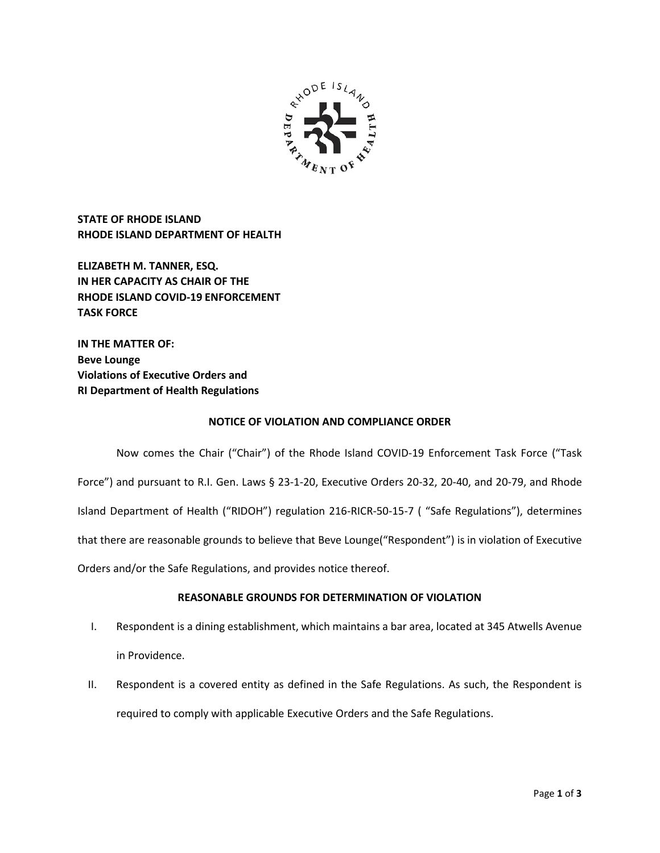

**STATE OF RHODE ISLAND RHODE ISLAND DEPARTMENT OF HEALTH**

**ELIZABETH M. TANNER, ESQ. IN HER CAPACITY AS CHAIR OF THE RHODE ISLAND COVID-19 ENFORCEMENT TASK FORCE** 

**IN THE MATTER OF: Beve Lounge Violations of Executive Orders and RI Department of Health Regulations**

## **NOTICE OF VIOLATION AND COMPLIANCE ORDER**

Now comes the Chair ("Chair") of the Rhode Island COVID-19 Enforcement Task Force ("Task Force") and pursuant to R.I. Gen. Laws § 23-1-20, Executive Orders 20-32, 20-40, and 20-79, and Rhode Island Department of Health ("RIDOH") regulation 216-RICR-50-15-7 ( "Safe Regulations"), determines that there are reasonable grounds to believe that Beve Lounge("Respondent") is in violation of Executive Orders and/or the Safe Regulations, and provides notice thereof.

# **REASONABLE GROUNDS FOR DETERMINATION OF VIOLATION**

- I. Respondent is a dining establishment, which maintains a bar area, located at 345 Atwells Avenue in Providence.
- II. Respondent is a covered entity as defined in the Safe Regulations. As such, the Respondent is required to comply with applicable Executive Orders and the Safe Regulations.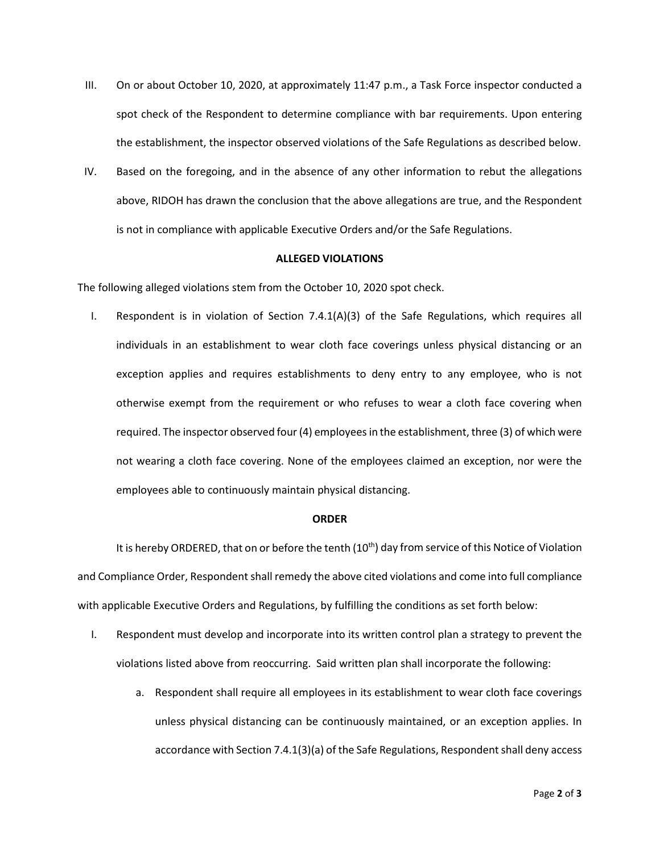- III. On or about October 10, 2020, at approximately 11:47 p.m., a Task Force inspector conducted a spot check of the Respondent to determine compliance with bar requirements. Upon entering the establishment, the inspector observed violations of the Safe Regulations as described below.
- IV. Based on the foregoing, and in the absence of any other information to rebut the allegations above, RIDOH has drawn the conclusion that the above allegations are true, and the Respondent is not in compliance with applicable Executive Orders and/or the Safe Regulations.

#### **ALLEGED VIOLATIONS**

The following alleged violations stem from the October 10, 2020 spot check.

I. Respondent is in violation of Section 7.4.1(A)(3) of the Safe Regulations, which requires all individuals in an establishment to wear cloth face coverings unless physical distancing or an exception applies and requires establishments to deny entry to any employee, who is not otherwise exempt from the requirement or who refuses to wear a cloth face covering when required. The inspector observed four (4) employees in the establishment, three (3) of which were not wearing a cloth face covering. None of the employees claimed an exception, nor were the employees able to continuously maintain physical distancing.

#### **ORDER**

It is hereby ORDERED, that on or before the tenth  $(10<sup>th</sup>)$  day from service of this Notice of Violation and Compliance Order, Respondent shall remedy the above cited violations and come into full compliance with applicable Executive Orders and Regulations, by fulfilling the conditions as set forth below:

- I. Respondent must develop and incorporate into its written control plan a strategy to prevent the violations listed above from reoccurring. Said written plan shall incorporate the following:
	- a. Respondent shall require all employees in its establishment to wear cloth face coverings unless physical distancing can be continuously maintained, or an exception applies. In accordance with Section 7.4.1(3)(a) of the Safe Regulations, Respondent shall deny access